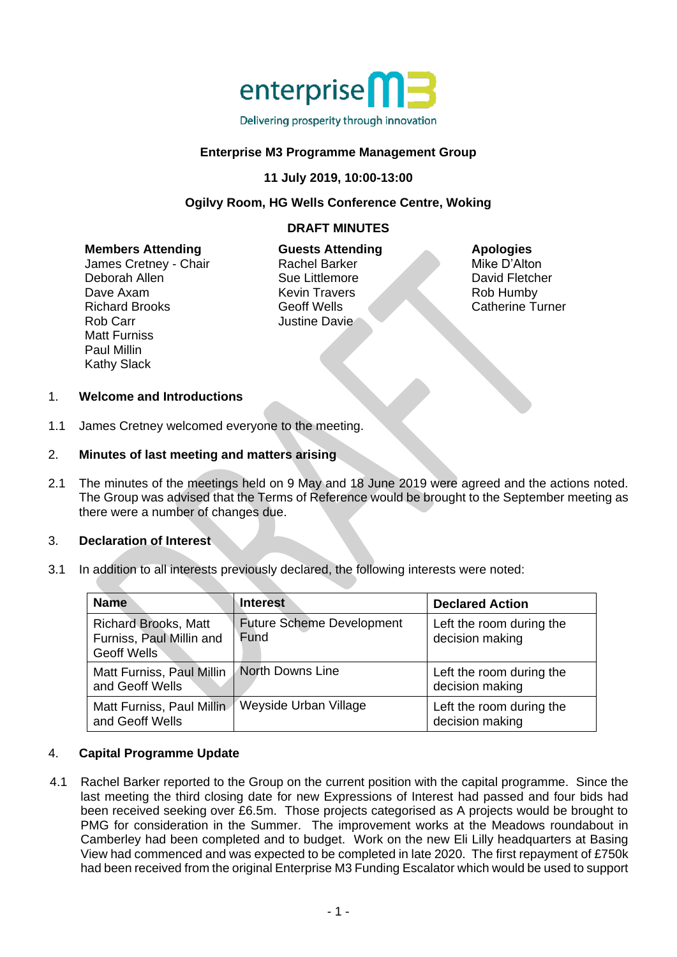

# **Enterprise M3 Programme Management Group**

#### **11 July 2019, 10:00-13:00**

### **Ogilvy Room, HG Wells Conference Centre, Woking**

# **DRAFT MINUTES**

#### **Members Attending**

James Cretney - Chair Deborah Allen Dave Axam Richard Brooks Rob Carr Matt Furniss Paul Millin Kathy Slack

**Guests Attending** Rachel Barker Sue Littlemore Kevin Travers Geoff Wells Justine Davie

#### **Apologies**

Mike D'Alton David Fletcher Rob Humby Catherine Turner

#### 1. **Welcome and Introductions**

1.1 James Cretney welcomed everyone to the meeting.

#### 2. **Minutes of last meeting and matters arising**

2.1 The minutes of the meetings held on 9 May and 18 June 2019 were agreed and the actions noted. The Group was advised that the Terms of Reference would be brought to the September meeting as there were a number of changes due.

### 3. **Declaration of Interest**

3.1 In addition to all interests previously declared, the following interests were noted:

| <b>Name</b>                                                                   | <b>Interest</b>                          | <b>Declared Action</b>                      |
|-------------------------------------------------------------------------------|------------------------------------------|---------------------------------------------|
| <b>Richard Brooks, Matt</b><br>Furniss, Paul Millin and<br><b>Geoff Wells</b> | <b>Future Scheme Development</b><br>Fund | Left the room during the<br>decision making |
| Matt Furniss, Paul Millin<br>and Geoff Wells                                  | North Downs Line                         | Left the room during the<br>decision making |
| Matt Furniss, Paul Millin<br>and Geoff Wells                                  | Weyside Urban Village                    | Left the room during the<br>decision making |

#### 4. **Capital Programme Update**

4.1 Rachel Barker reported to the Group on the current position with the capital programme. Since the last meeting the third closing date for new Expressions of Interest had passed and four bids had been received seeking over £6.5m. Those projects categorised as A projects would be brought to PMG for consideration in the Summer. The improvement works at the Meadows roundabout in Camberley had been completed and to budget. Work on the new Eli Lilly headquarters at Basing View had commenced and was expected to be completed in late 2020. The first repayment of £750k had been received from the original Enterprise M3 Funding Escalator which would be used to support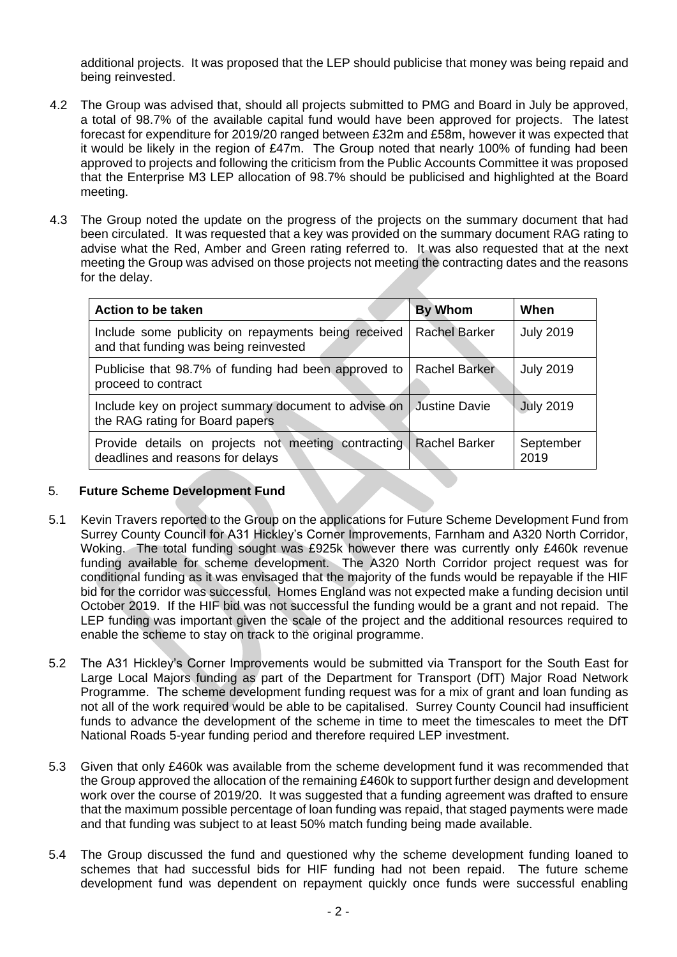additional projects. It was proposed that the LEP should publicise that money was being repaid and being reinvested.

- 4.2 The Group was advised that, should all projects submitted to PMG and Board in July be approved, a total of 98.7% of the available capital fund would have been approved for projects. The latest forecast for expenditure for 2019/20 ranged between £32m and £58m, however it was expected that it would be likely in the region of £47m. The Group noted that nearly 100% of funding had been approved to projects and following the criticism from the Public Accounts Committee it was proposed that the Enterprise M3 LEP allocation of 98.7% should be publicised and highlighted at the Board meeting.
- 4.3 The Group noted the update on the progress of the projects on the summary document that had been circulated. It was requested that a key was provided on the summary document RAG rating to advise what the Red, Amber and Green rating referred to. It was also requested that at the next meeting the Group was advised on those projects not meeting the contracting dates and the reasons for the delay.

| Action to be taken                                                                                      | <b>By Whom</b>       | When              |
|---------------------------------------------------------------------------------------------------------|----------------------|-------------------|
| Include some publicity on repayments being received<br>and that funding was being reinvested            | <b>Rachel Barker</b> | <b>July 2019</b>  |
| Publicise that 98.7% of funding had been approved to<br>proceed to contract                             | <b>Rachel Barker</b> | <b>July 2019</b>  |
| Include key on project summary document to advise on<br>the RAG rating for Board papers                 | <b>Justine Davie</b> | <b>July 2019</b>  |
| Provide details on projects not meeting contracting   Rachel Barker<br>deadlines and reasons for delays |                      | September<br>2019 |

# 5. **Future Scheme Development Fund**

- 5.1 Kevin Travers reported to the Group on the applications for Future Scheme Development Fund from Surrey County Council for A31 Hickley's Corner Improvements, Farnham and A320 North Corridor, Woking. The total funding sought was £925k however there was currently only £460k revenue funding available for scheme development. The A320 North Corridor project request was for conditional funding as it was envisaged that the majority of the funds would be repayable if the HIF bid for the corridor was successful. Homes England was not expected make a funding decision until October 2019. If the HIF bid was not successful the funding would be a grant and not repaid. The LEP funding was important given the scale of the project and the additional resources required to enable the scheme to stay on track to the original programme.
- 5.2 The A31 Hickley's Corner Improvements would be submitted via Transport for the South East for Large Local Majors funding as part of the Department for Transport (DfT) Major Road Network Programme. The scheme development funding request was for a mix of grant and loan funding as not all of the work required would be able to be capitalised. Surrey County Council had insufficient funds to advance the development of the scheme in time to meet the timescales to meet the DfT National Roads 5-year funding period and therefore required LEP investment.
- 5.3 Given that only £460k was available from the scheme development fund it was recommended that the Group approved the allocation of the remaining £460k to support further design and development work over the course of 2019/20. It was suggested that a funding agreement was drafted to ensure that the maximum possible percentage of loan funding was repaid, that staged payments were made and that funding was subject to at least 50% match funding being made available.
- 5.4 The Group discussed the fund and questioned why the scheme development funding loaned to schemes that had successful bids for HIF funding had not been repaid. The future scheme development fund was dependent on repayment quickly once funds were successful enabling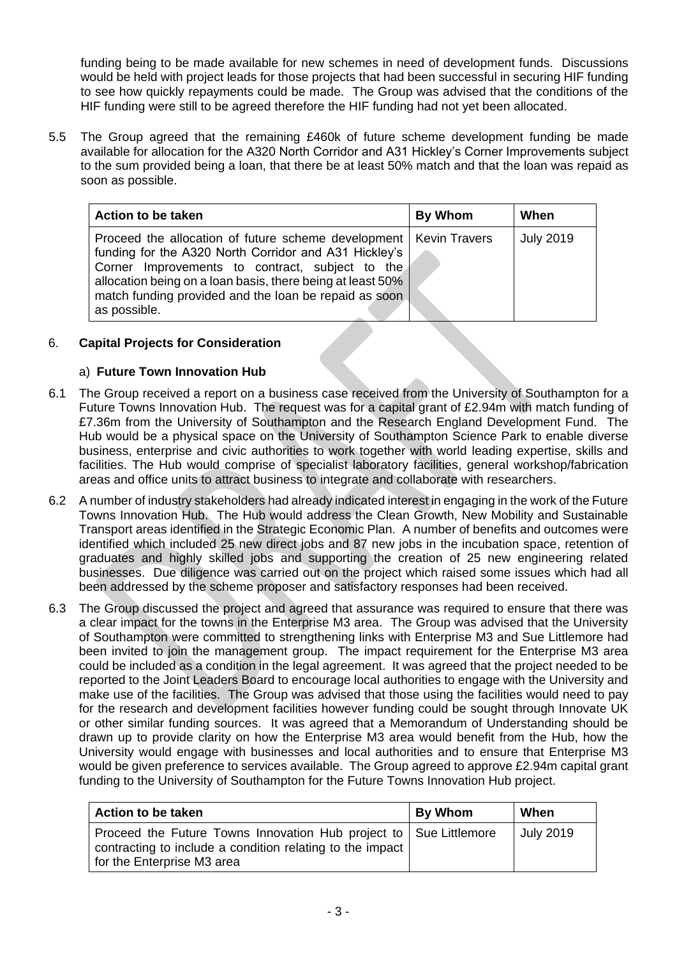funding being to be made available for new schemes in need of development funds. Discussions would be held with project leads for those projects that had been successful in securing HIF funding to see how quickly repayments could be made. The Group was advised that the conditions of the HIF funding were still to be agreed therefore the HIF funding had not yet been allocated.

5.5 The Group agreed that the remaining £460k of future scheme development funding be made available for allocation for the A320 North Corridor and A31 Hickley's Corner Improvements subject to the sum provided being a loan, that there be at least 50% match and that the loan was repaid as soon as possible.

| <b>Action to be taken</b>                                                                                                                                                                                                                                                                                              | By Whom | When             |
|------------------------------------------------------------------------------------------------------------------------------------------------------------------------------------------------------------------------------------------------------------------------------------------------------------------------|---------|------------------|
| Proceed the allocation of future scheme development   Kevin Travers<br>funding for the A320 North Corridor and A31 Hickley's<br>Corner Improvements to contract, subject to the<br>allocation being on a loan basis, there being at least 50%<br>match funding provided and the loan be repaid as soon<br>as possible. |         | <b>July 2019</b> |

# 6. **Capital Projects for Consideration**

# a) **Future Town Innovation Hub**

- 6.1 The Group received a report on a business case received from the University of Southampton for a Future Towns Innovation Hub. The request was for a capital grant of £2.94m with match funding of £7.36m from the University of Southampton and the Research England Development Fund. The Hub would be a physical space on the University of Southampton Science Park to enable diverse business, enterprise and civic authorities to work together with world leading expertise, skills and facilities. The Hub would comprise of specialist laboratory facilities, general workshop/fabrication areas and office units to attract business to integrate and collaborate with researchers.
- 6.2 A number of industry stakeholders had already indicated interest in engaging in the work of the Future Towns Innovation Hub. The Hub would address the Clean Growth, New Mobility and Sustainable Transport areas identified in the Strategic Economic Plan. A number of benefits and outcomes were identified which included 25 new direct jobs and 87 new jobs in the incubation space, retention of graduates and highly skilled jobs and supporting the creation of 25 new engineering related businesses. Due diligence was carried out on the project which raised some issues which had all been addressed by the scheme proposer and satisfactory responses had been received.
- 6.3 The Group discussed the project and agreed that assurance was required to ensure that there was a clear impact for the towns in the Enterprise M3 area. The Group was advised that the University of Southampton were committed to strengthening links with Enterprise M3 and Sue Littlemore had been invited to join the management group. The impact requirement for the Enterprise M3 area could be included as a condition in the legal agreement. It was agreed that the project needed to be reported to the Joint Leaders Board to encourage local authorities to engage with the University and make use of the facilities. The Group was advised that those using the facilities would need to pay for the research and development facilities however funding could be sought through Innovate UK or other similar funding sources. It was agreed that a Memorandum of Understanding should be drawn up to provide clarity on how the Enterprise M3 area would benefit from the Hub, how the University would engage with businesses and local authorities and to ensure that Enterprise M3 would be given preference to services available. The Group agreed to approve £2.94m capital grant funding to the University of Southampton for the Future Towns Innovation Hub project.

| Action to be taken                                                                                                                                           | <b>By Whom</b> | When             |
|--------------------------------------------------------------------------------------------------------------------------------------------------------------|----------------|------------------|
| Proceed the Future Towns Innovation Hub project to Sue Littlemore<br>contracting to include a condition relating to the impact<br>for the Enterprise M3 area |                | <b>July 2019</b> |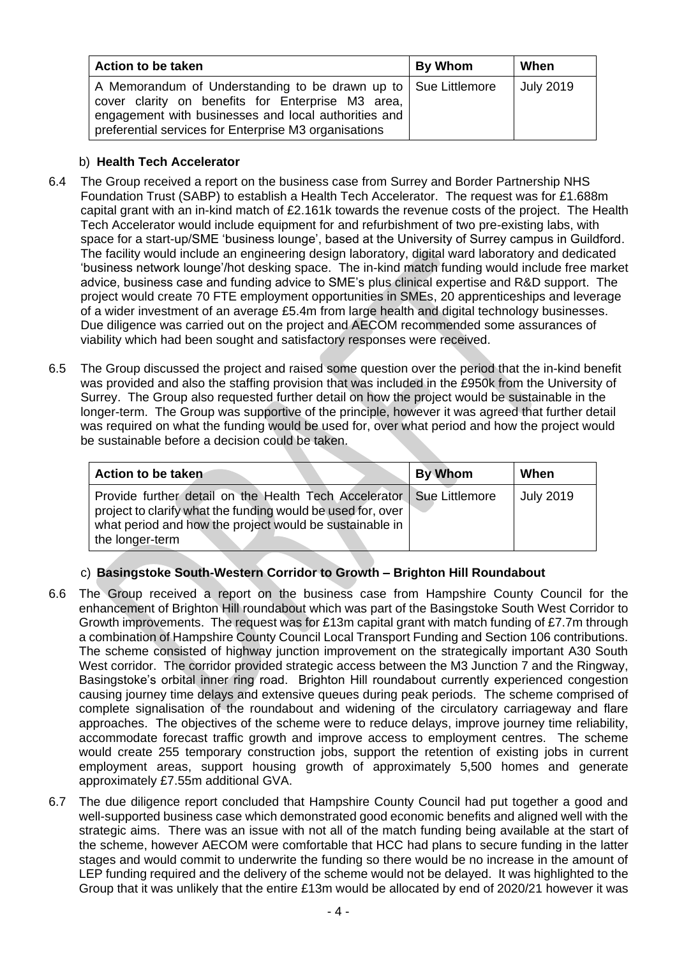| Action to be taken                                                                                                                                                                                                                     | <b>By Whom</b> | When             |
|----------------------------------------------------------------------------------------------------------------------------------------------------------------------------------------------------------------------------------------|----------------|------------------|
| A Memorandum of Understanding to be drawn up to   Sue Littlemore<br>cover clarity on benefits for Enterprise M3 area,<br>engagement with businesses and local authorities and<br>preferential services for Enterprise M3 organisations |                | <b>July 2019</b> |

# b) **Health Tech Accelerator**

- 6.4 The Group received a report on the business case from Surrey and Border Partnership NHS Foundation Trust (SABP) to establish a Health Tech Accelerator. The request was for £1.688m capital grant with an in-kind match of £2.161k towards the revenue costs of the project. The Health Tech Accelerator would include equipment for and refurbishment of two pre-existing labs, with space for a start-up/SME 'business lounge', based at the University of Surrey campus in Guildford. The facility would include an engineering design laboratory, digital ward laboratory and dedicated 'business network lounge'/hot desking space. The in-kind match funding would include free market advice, business case and funding advice to SME's plus clinical expertise and R&D support. The project would create 70 FTE employment opportunities in SMEs, 20 apprenticeships and leverage of a wider investment of an average £5.4m from large health and digital technology businesses. Due diligence was carried out on the project and AECOM recommended some assurances of viability which had been sought and satisfactory responses were received.
- 6.5 The Group discussed the project and raised some question over the period that the in-kind benefit was provided and also the staffing provision that was included in the £950k from the University of Surrey. The Group also requested further detail on how the project would be sustainable in the longer-term. The Group was supportive of the principle, however it was agreed that further detail was required on what the funding would be used for, over what period and how the project would be sustainable before a decision could be taken.

| Action to be taken                                                                                                                                                                                                  | <b>By Whom</b> | When             |
|---------------------------------------------------------------------------------------------------------------------------------------------------------------------------------------------------------------------|----------------|------------------|
| Provide further detail on the Health Tech Accelerator   Sue Littlemore<br>project to clarify what the funding would be used for, over<br>what period and how the project would be sustainable in<br>the longer-term |                | <b>July 2019</b> |

# c) **Basingstoke South-Western Corridor to Growth – Brighton Hill Roundabout**

- 6.6 The Group received a report on the business case from Hampshire County Council for the enhancement of Brighton Hill roundabout which was part of the Basingstoke South West Corridor to Growth improvements. The request was for £13m capital grant with match funding of £7.7m through a combination of Hampshire County Council Local Transport Funding and Section 106 contributions. The scheme consisted of highway junction improvement on the strategically important A30 South West corridor. The corridor provided strategic access between the M3 Junction 7 and the Ringway, Basingstoke's orbital inner ring road. Brighton Hill roundabout currently experienced congestion causing journey time delays and extensive queues during peak periods. The scheme comprised of complete signalisation of the roundabout and widening of the circulatory carriageway and flare approaches. The objectives of the scheme were to reduce delays, improve journey time reliability, accommodate forecast traffic growth and improve access to employment centres. The scheme would create 255 temporary construction jobs, support the retention of existing jobs in current employment areas, support housing growth of approximately 5,500 homes and generate approximately £7.55m additional GVA.
- 6.7 The due diligence report concluded that Hampshire County Council had put together a good and well-supported business case which demonstrated good economic benefits and aligned well with the strategic aims. There was an issue with not all of the match funding being available at the start of the scheme, however AECOM were comfortable that HCC had plans to secure funding in the latter stages and would commit to underwrite the funding so there would be no increase in the amount of LEP funding required and the delivery of the scheme would not be delayed. It was highlighted to the Group that it was unlikely that the entire £13m would be allocated by end of 2020/21 however it was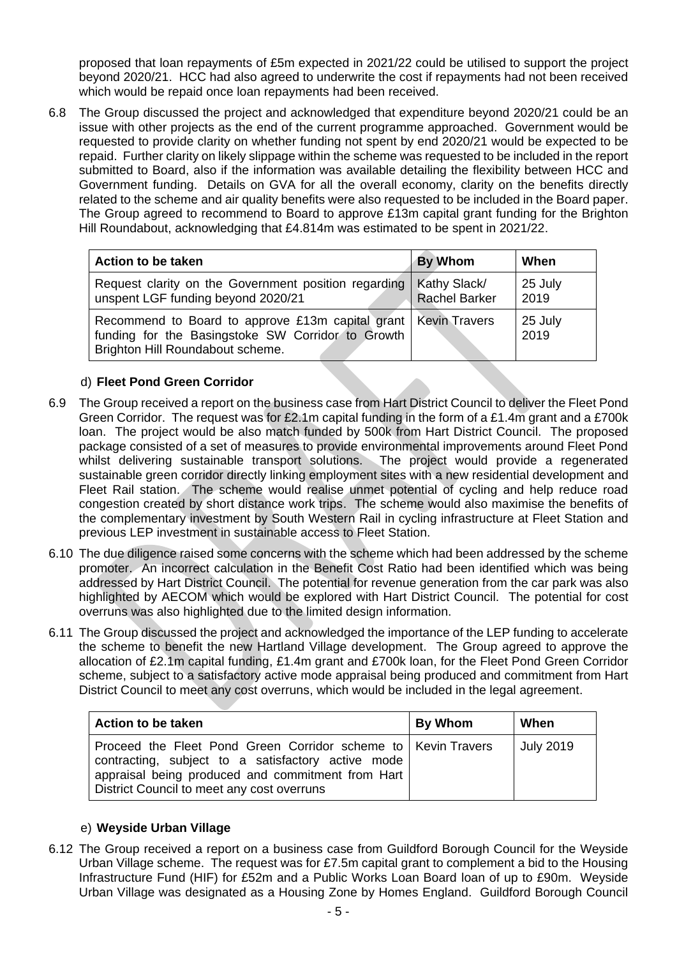proposed that loan repayments of £5m expected in 2021/22 could be utilised to support the project beyond 2020/21. HCC had also agreed to underwrite the cost if repayments had not been received which would be repaid once loan repayments had been received.

6.8 The Group discussed the project and acknowledged that expenditure beyond 2020/21 could be an issue with other projects as the end of the current programme approached. Government would be requested to provide clarity on whether funding not spent by end 2020/21 would be expected to be repaid. Further clarity on likely slippage within the scheme was requested to be included in the report submitted to Board, also if the information was available detailing the flexibility between HCC and Government funding. Details on GVA for all the overall economy, clarity on the benefits directly related to the scheme and air quality benefits were also requested to be included in the Board paper. The Group agreed to recommend to Board to approve £13m capital grant funding for the Brighton Hill Roundabout, acknowledging that £4.814m was estimated to be spent in 2021/22.

| Action to be taken                                                                                                                                        | <b>By Whom</b>                       | When            |
|-----------------------------------------------------------------------------------------------------------------------------------------------------------|--------------------------------------|-----------------|
| Request clarity on the Government position regarding<br>unspent LGF funding beyond 2020/21                                                                | Kathy Slack/<br><b>Rachel Barker</b> | 25 July<br>2019 |
| Recommend to Board to approve £13m capital grant   Kevin Travers<br>funding for the Basingstoke SW Corridor to Growth<br>Brighton Hill Roundabout scheme. |                                      | 25 July<br>2019 |

# d) **Fleet Pond Green Corridor**

- 6.9 The Group received a report on the business case from Hart District Council to deliver the Fleet Pond Green Corridor. The request was for £2.1m capital funding in the form of a £1.4m grant and a £700k loan. The project would be also match funded by 500k from Hart District Council. The proposed package consisted of a set of measures to provide environmental improvements around Fleet Pond whilst delivering sustainable transport solutions. The project would provide a regenerated sustainable green corridor directly linking employment sites with a new residential development and Fleet Rail station. The scheme would realise unmet potential of cycling and help reduce road congestion created by short distance work trips. The scheme would also maximise the benefits of the complementary investment by South Western Rail in cycling infrastructure at Fleet Station and previous LEP investment in sustainable access to Fleet Station.
- 6.10 The due diligence raised some concerns with the scheme which had been addressed by the scheme promoter. An incorrect calculation in the Benefit Cost Ratio had been identified which was being addressed by Hart District Council. The potential for revenue generation from the car park was also highlighted by AECOM which would be explored with Hart District Council. The potential for cost overruns was also highlighted due to the limited design information.
- 6.11 The Group discussed the project and acknowledged the importance of the LEP funding to accelerate the scheme to benefit the new Hartland Village development. The Group agreed to approve the allocation of £2.1m capital funding, £1.4m grant and £700k loan, for the Fleet Pond Green Corridor scheme, subject to a satisfactory active mode appraisal being produced and commitment from Hart District Council to meet any cost overruns, which would be included in the legal agreement.

| Action to be taken                                                                                                                                                                                                       | <b>By Whom</b> | When             |
|--------------------------------------------------------------------------------------------------------------------------------------------------------------------------------------------------------------------------|----------------|------------------|
| Proceed the Fleet Pond Green Corridor scheme to   Kevin Travers<br>contracting, subject to a satisfactory active mode<br>appraisal being produced and commitment from Hart<br>District Council to meet any cost overruns |                | <b>July 2019</b> |

# e) **Weyside Urban Village**

6.12 The Group received a report on a business case from Guildford Borough Council for the Weyside Urban Village scheme. The request was for £7.5m capital grant to complement a bid to the Housing Infrastructure Fund (HIF) for £52m and a Public Works Loan Board loan of up to £90m. Weyside Urban Village was designated as a Housing Zone by Homes England. Guildford Borough Council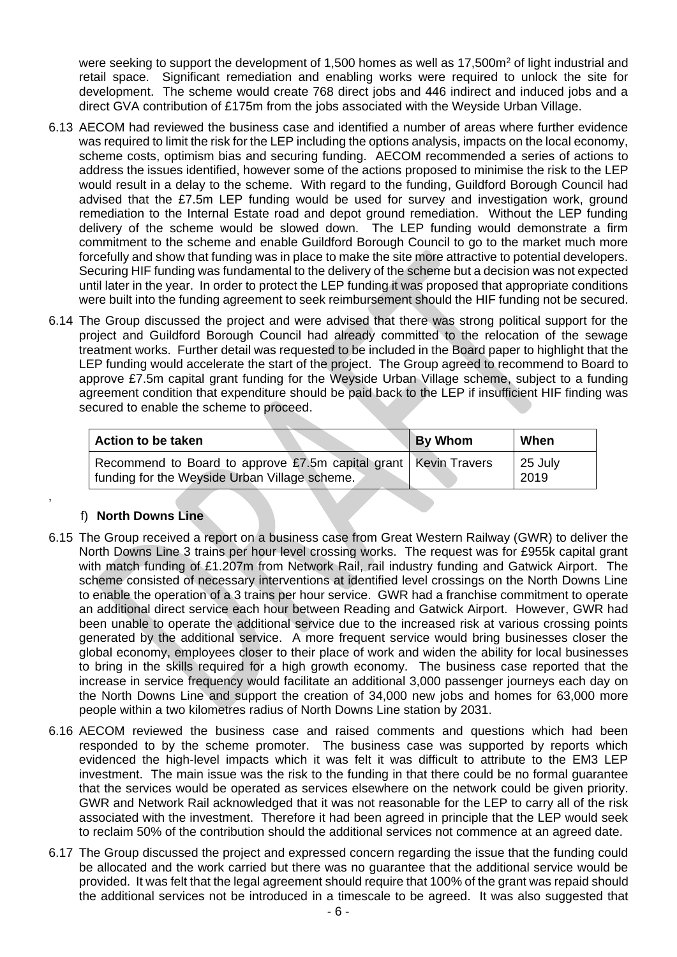were seeking to support the development of 1,500 homes as well as 17,500m<sup>2</sup> of light industrial and retail space. Significant remediation and enabling works were required to unlock the site for development. The scheme would create 768 direct jobs and 446 indirect and induced jobs and a direct GVA contribution of £175m from the jobs associated with the Weyside Urban Village.

- 6.13 AECOM had reviewed the business case and identified a number of areas where further evidence was required to limit the risk for the LEP including the options analysis, impacts on the local economy, scheme costs, optimism bias and securing funding. AECOM recommended a series of actions to address the issues identified, however some of the actions proposed to minimise the risk to the LEP would result in a delay to the scheme. With regard to the funding, Guildford Borough Council had advised that the £7.5m LEP funding would be used for survey and investigation work, ground remediation to the Internal Estate road and depot ground remediation. Without the LEP funding delivery of the scheme would be slowed down. The LEP funding would demonstrate a firm commitment to the scheme and enable Guildford Borough Council to go to the market much more forcefully and show that funding was in place to make the site more attractive to potential developers. Securing HIF funding was fundamental to the delivery of the scheme but a decision was not expected until later in the year. In order to protect the LEP funding it was proposed that appropriate conditions were built into the funding agreement to seek reimbursement should the HIF funding not be secured.
- 6.14 The Group discussed the project and were advised that there was strong political support for the project and Guildford Borough Council had already committed to the relocation of the sewage treatment works. Further detail was requested to be included in the Board paper to highlight that the LEP funding would accelerate the start of the project. The Group agreed to recommend to Board to approve £7.5m capital grant funding for the Weyside Urban Village scheme, subject to a funding agreement condition that expenditure should be paid back to the LEP if insufficient HIF finding was secured to enable the scheme to proceed.

| Action to be taken                                                                                                 | <b>By Whom</b> | When                     |
|--------------------------------------------------------------------------------------------------------------------|----------------|--------------------------|
| Recommend to Board to approve £7.5m capital grant   Kevin Travers<br>funding for the Weyside Urban Village scheme. |                | $\sqrt{25}$ July<br>2019 |

# f) **North Downs Line**

,

- 6.15 The Group received a report on a business case from Great Western Railway (GWR) to deliver the North Downs Line 3 trains per hour level crossing works. The request was for £955k capital grant with match funding of £1.207m from Network Rail, rail industry funding and Gatwick Airport. The scheme consisted of necessary interventions at identified level crossings on the North Downs Line to enable the operation of a 3 trains per hour service. GWR had a franchise commitment to operate an additional direct service each hour between Reading and Gatwick Airport. However, GWR had been unable to operate the additional service due to the increased risk at various crossing points generated by the additional service. A more frequent service would bring businesses closer the global economy, employees closer to their place of work and widen the ability for local businesses to bring in the skills required for a high growth economy. The business case reported that the increase in service frequency would facilitate an additional 3,000 passenger journeys each day on the North Downs Line and support the creation of 34,000 new jobs and homes for 63,000 more people within a two kilometres radius of North Downs Line station by 2031.
- 6.16 AECOM reviewed the business case and raised comments and questions which had been responded to by the scheme promoter. The business case was supported by reports which evidenced the high-level impacts which it was felt it was difficult to attribute to the EM3 LEP investment. The main issue was the risk to the funding in that there could be no formal guarantee that the services would be operated as services elsewhere on the network could be given priority. GWR and Network Rail acknowledged that it was not reasonable for the LEP to carry all of the risk associated with the investment. Therefore it had been agreed in principle that the LEP would seek to reclaim 50% of the contribution should the additional services not commence at an agreed date.
- 6.17 The Group discussed the project and expressed concern regarding the issue that the funding could be allocated and the work carried but there was no guarantee that the additional service would be provided. It was felt that the legal agreement should require that 100% of the grant was repaid should the additional services not be introduced in a timescale to be agreed. It was also suggested that